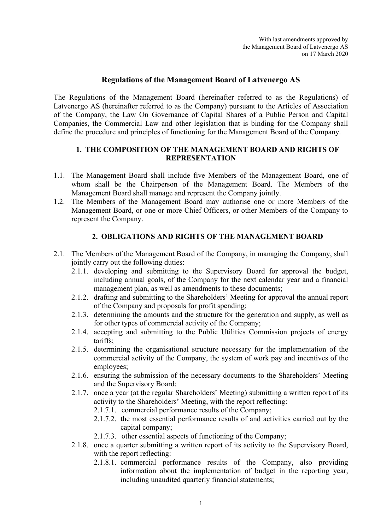# Regulations of the Management Board of Latvenergo AS

The Regulations of the Management Board (hereinafter referred to as the Regulations) of Latvenergo AS (hereinafter referred to as the Company) pursuant to the Articles of Association of the Company, the Law On Governance of Capital Shares of a Public Person and Capital Companies, the Commercial Law and other legislation that is binding for the Company shall define the procedure and principles of functioning for the Management Board of the Company.

#### 1. THE COMPOSITION OF THE MANAGEMENT BOARD AND RIGHTS OF **REPRESENTATION**

- 1.1. The Management Board shall include five Members of the Management Board, one of whom shall be the Chairperson of the Management Board. The Members of the Management Board shall manage and represent the Company jointly.
- 1.2. The Members of the Management Board may authorise one or more Members of the Management Board, or one or more Chief Officers, or other Members of the Company to represent the Company.

## 2. OBLIGATIONS AND RIGHTS OF THE MANAGEMENT BOARD

- 2.1. The Members of the Management Board of the Company, in managing the Company, shall jointly carry out the following duties:
	- 2.1.1. developing and submitting to the Supervisory Board for approval the budget, including annual goals, of the Company for the next calendar year and a financial management plan, as well as amendments to these documents;
	- 2.1.2. drafting and submitting to the Shareholders' Meeting for approval the annual report of the Company and proposals for profit spending;
	- 2.1.3. determining the amounts and the structure for the generation and supply, as well as for other types of commercial activity of the Company;
	- 2.1.4. accepting and submitting to the Public Utilities Commission projects of energy tariffs;
	- 2.1.5. determining the organisational structure necessary for the implementation of the commercial activity of the Company, the system of work pay and incentives of the employees;
	- 2.1.6. ensuring the submission of the necessary documents to the Shareholders' Meeting and the Supervisory Board;
	- 2.1.7. once a year (at the regular Shareholders' Meeting) submitting a written report of its activity to the Shareholders' Meeting, with the report reflecting:
		- 2.1.7.1. commercial performance results of the Company;
		- 2.1.7.2. the most essential performance results of and activities carried out by the capital company;
		- 2.1.7.3. other essential aspects of functioning of the Company;
	- 2.1.8. once a quarter submitting a written report of its activity to the Supervisory Board, with the report reflecting:
		- 2.1.8.1. commercial performance results of the Company, also providing information about the implementation of budget in the reporting year, including unaudited quarterly financial statements;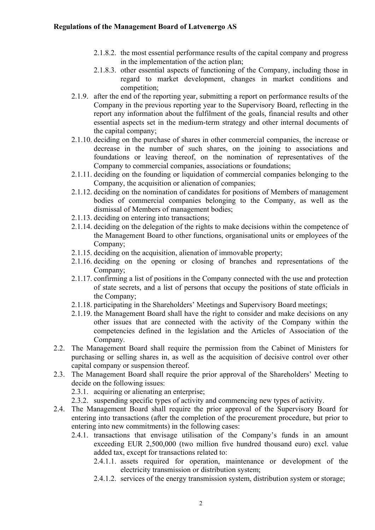- 2.1.8.2. the most essential performance results of the capital company and progress in the implementation of the action plan;
- 2.1.8.3. other essential aspects of functioning of the Company, including those in regard to market development, changes in market conditions and competition;
- 2.1.9. after the end of the reporting year, submitting a report on performance results of the Company in the previous reporting year to the Supervisory Board, reflecting in the report any information about the fulfilment of the goals, financial results and other essential aspects set in the medium-term strategy and other internal documents of the capital company;
- 2.1.10. deciding on the purchase of shares in other commercial companies, the increase or decrease in the number of such shares, on the joining to associations and foundations or leaving thereof, on the nomination of representatives of the Company to commercial companies, associations or foundations;
- 2.1.11. deciding on the founding or liquidation of commercial companies belonging to the Company, the acquisition or alienation of companies;
- 2.1.12. deciding on the nomination of candidates for positions of Members of management bodies of commercial companies belonging to the Company, as well as the dismissal of Members of management bodies;
- 2.1.13. deciding on entering into transactions;
- 2.1.14. deciding on the delegation of the rights to make decisions within the competence of the Management Board to other functions, organisational units or employees of the Company;
- 2.1.15. deciding on the acquisition, alienation of immovable property;
- 2.1.16. deciding on the opening or closing of branches and representations of the Company;
- 2.1.17. confirming a list of positions in the Company connected with the use and protection of state secrets, and a list of persons that occupy the positions of state officials in the Company;
- 2.1.18. participating in the Shareholders' Meetings and Supervisory Board meetings;
- 2.1.19. the Management Board shall have the right to consider and make decisions on any other issues that are connected with the activity of the Company within the competencies defined in the legislation and the Articles of Association of the Company.
- 2.2. The Management Board shall require the permission from the Cabinet of Ministers for purchasing or selling shares in, as well as the acquisition of decisive control over other capital company or suspension thereof.
- 2.3. The Management Board shall require the prior approval of the Shareholders' Meeting to decide on the following issues:
	- 2.3.1. acquiring or alienating an enterprise;
	- 2.3.2. suspending specific types of activity and commencing new types of activity.
- 2.4. The Management Board shall require the prior approval of the Supervisory Board for entering into transactions (after the completion of the procurement procedure, but prior to entering into new commitments) in the following cases:
	- 2.4.1. transactions that envisage utilisation of the Company's funds in an amount exceeding EUR 2,500,000 (two million five hundred thousand euro) excl. value added tax, except for transactions related to:
		- 2.4.1.1. assets required for operation, maintenance or development of the electricity transmission or distribution system;
		- 2.4.1.2. services of the energy transmission system, distribution system or storage;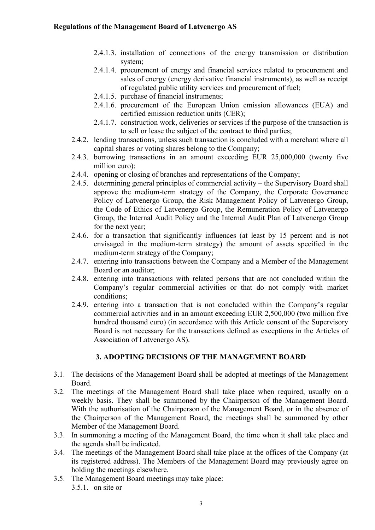- 2.4.1.3. installation of connections of the energy transmission or distribution system;
- 2.4.1.4. procurement of energy and financial services related to procurement and sales of energy (energy derivative financial instruments), as well as receipt of regulated public utility services and procurement of fuel;
- 2.4.1.5. purchase of financial instruments;
- 2.4.1.6. procurement of the European Union emission allowances (EUA) and certified emission reduction units (CER);
- 2.4.1.7. construction work, deliveries or services if the purpose of the transaction is to sell or lease the subject of the contract to third parties;
- 2.4.2. lending transactions, unless such transaction is concluded with a merchant where all capital shares or voting shares belong to the Company;
- 2.4.3. borrowing transactions in an amount exceeding EUR 25,000,000 (twenty five million euro);
- 2.4.4. opening or closing of branches and representations of the Company;
- 2.4.5. determining general principles of commercial activity the Supervisory Board shall approve the medium-term strategy of the Company, the Corporate Governance Policy of Latvenergo Group, the Risk Management Policy of Latvenergo Group, the Code of Ethics of Latvenergo Group, the Remuneration Policy of Latvenergo Group, the Internal Audit Policy and the Internal Audit Plan of Latvenergo Group for the next year;
- 2.4.6. for a transaction that significantly influences (at least by 15 percent and is not envisaged in the medium-term strategy) the amount of assets specified in the medium-term strategy of the Company;
- 2.4.7. entering into transactions between the Company and a Member of the Management Board or an auditor;
- 2.4.8. entering into transactions with related persons that are not concluded within the Company's regular commercial activities or that do not comply with market conditions;
- 2.4.9. entering into a transaction that is not concluded within the Company's regular commercial activities and in an amount exceeding EUR 2,500,000 (two million five hundred thousand euro) (in accordance with this Article consent of the Supervisory Board is not necessary for the transactions defined as exceptions in the Articles of Association of Latvenergo AS).

#### 3. ADOPTING DECISIONS OF THE MANAGEMENT BOARD

- 3.1. The decisions of the Management Board shall be adopted at meetings of the Management Board.
- 3.2. The meetings of the Management Board shall take place when required, usually on a weekly basis. They shall be summoned by the Chairperson of the Management Board. With the authorisation of the Chairperson of the Management Board, or in the absence of the Chairperson of the Management Board, the meetings shall be summoned by other Member of the Management Board.
- 3.3. In summoning a meeting of the Management Board, the time when it shall take place and the agenda shall be indicated.
- 3.4. The meetings of the Management Board shall take place at the offices of the Company (at its registered address). The Members of the Management Board may previously agree on holding the meetings elsewhere.
- 3.5. The Management Board meetings may take place: 3.5.1. on site or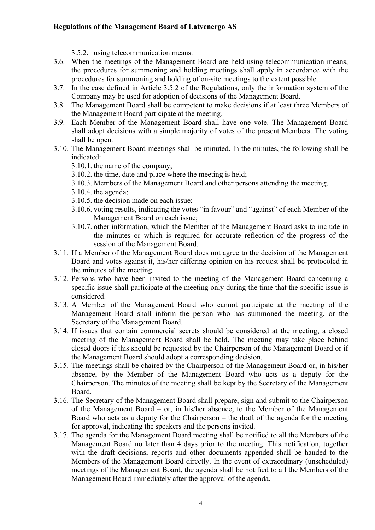#### Regulations of the Management Board of Latvenergo AS

- 3.5.2. using telecommunication means.
- 3.6. When the meetings of the Management Board are held using telecommunication means, the procedures for summoning and holding meetings shall apply in accordance with the procedures for summoning and holding of on-site meetings to the extent possible.
- 3.7. In the case defined in Article 3.5.2 of the Regulations, only the information system of the Company may be used for adoption of decisions of the Management Board.
- 3.8. The Management Board shall be competent to make decisions if at least three Members of the Management Board participate at the meeting.
- 3.9. Each Member of the Management Board shall have one vote. The Management Board shall adopt decisions with a simple majority of votes of the present Members. The voting shall be open.
- 3.10. The Management Board meetings shall be minuted. In the minutes, the following shall be indicated:
	- 3.10.1. the name of the company;
	- 3.10.2. the time, date and place where the meeting is held;
	- 3.10.3. Members of the Management Board and other persons attending the meeting;
	- 3.10.4. the agenda;
	- 3.10.5. the decision made on each issue;
	- 3.10.6. voting results, indicating the votes "in favour" and "against" of each Member of the Management Board on each issue;
	- 3.10.7. other information, which the Member of the Management Board asks to include in the minutes or which is required for accurate reflection of the progress of the session of the Management Board.
- 3.11. If a Member of the Management Board does not agree to the decision of the Management Board and votes against it, his/her differing opinion on his request shall be protocoled in the minutes of the meeting.
- 3.12. Persons who have been invited to the meeting of the Management Board concerning a specific issue shall participate at the meeting only during the time that the specific issue is considered.
- 3.13. A Member of the Management Board who cannot participate at the meeting of the Management Board shall inform the person who has summoned the meeting, or the Secretary of the Management Board.
- 3.14. If issues that contain commercial secrets should be considered at the meeting, a closed meeting of the Management Board shall be held. The meeting may take place behind closed doors if this should be requested by the Chairperson of the Management Board or if the Management Board should adopt a corresponding decision.
- 3.15. The meetings shall be chaired by the Chairperson of the Management Board or, in his/her absence, by the Member of the Management Board who acts as a deputy for the Chairperson. The minutes of the meeting shall be kept by the Secretary of the Management Board.
- 3.16. The Secretary of the Management Board shall prepare, sign and submit to the Chairperson of the Management Board – or, in his/her absence, to the Member of the Management Board who acts as a deputy for the Chairperson – the draft of the agenda for the meeting for approval, indicating the speakers and the persons invited.
- 3.17. The agenda for the Management Board meeting shall be notified to all the Members of the Management Board no later than 4 days prior to the meeting. This notification, together with the draft decisions, reports and other documents appended shall be handed to the Members of the Management Board directly. In the event of extraordinary (unscheduled) meetings of the Management Board, the agenda shall be notified to all the Members of the Management Board immediately after the approval of the agenda.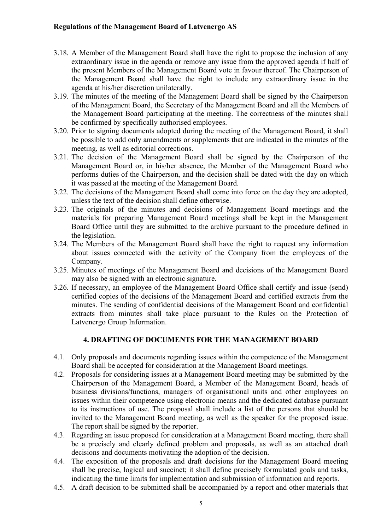- 3.18. A Member of the Management Board shall have the right to propose the inclusion of any extraordinary issue in the agenda or remove any issue from the approved agenda if half of the present Members of the Management Board vote in favour thereof. The Chairperson of the Management Board shall have the right to include any extraordinary issue in the agenda at his/her discretion unilaterally.
- 3.19. The minutes of the meeting of the Management Board shall be signed by the Chairperson of the Management Board, the Secretary of the Management Board and all the Members of the Management Board participating at the meeting. The correctness of the minutes shall be confirmed by specifically authorised employees.
- 3.20. Prior to signing documents adopted during the meeting of the Management Board, it shall be possible to add only amendments or supplements that are indicated in the minutes of the meeting, as well as editorial corrections.
- 3.21. The decision of the Management Board shall be signed by the Chairperson of the Management Board or, in his/her absence, the Member of the Management Board who performs duties of the Chairperson, and the decision shall be dated with the day on which it was passed at the meeting of the Management Board.
- 3.22. The decisions of the Management Board shall come into force on the day they are adopted, unless the text of the decision shall define otherwise.
- 3.23. The originals of the minutes and decisions of Management Board meetings and the materials for preparing Management Board meetings shall be kept in the Management Board Office until they are submitted to the archive pursuant to the procedure defined in the legislation.
- 3.24. The Members of the Management Board shall have the right to request any information about issues connected with the activity of the Company from the employees of the Company.
- 3.25. Minutes of meetings of the Management Board and decisions of the Management Board may also be signed with an electronic signature.
- 3.26. If necessary, an employee of the Management Board Office shall certify and issue (send) certified copies of the decisions of the Management Board and certified extracts from the minutes. The sending of confidential decisions of the Management Board and confidential extracts from minutes shall take place pursuant to the Rules on the Protection of Latvenergo Group Information.

## 4. DRAFTING OF DOCUMENTS FOR THE MANAGEMENT BOARD

- 4.1. Only proposals and documents regarding issues within the competence of the Management Board shall be accepted for consideration at the Management Board meetings.
- 4.2. Proposals for considering issues at a Management Board meeting may be submitted by the Chairperson of the Management Board, a Member of the Management Board, heads of business divisions/functions, managers of organisational units and other employees on issues within their competence using electronic means and the dedicated database pursuant to its instructions of use. The proposal shall include a list of the persons that should be invited to the Management Board meeting, as well as the speaker for the proposed issue. The report shall be signed by the reporter.
- 4.3. Regarding an issue proposed for consideration at a Management Board meeting, there shall be a precisely and clearly defined problem and proposals, as well as an attached draft decisions and documents motivating the adoption of the decision.
- 4.4. The exposition of the proposals and draft decisions for the Management Board meeting shall be precise, logical and succinct; it shall define precisely formulated goals and tasks, indicating the time limits for implementation and submission of information and reports.
- 4.5. A draft decision to be submitted shall be accompanied by a report and other materials that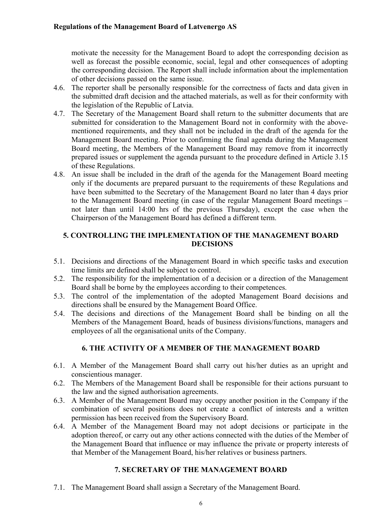motivate the necessity for the Management Board to adopt the corresponding decision as well as forecast the possible economic, social, legal and other consequences of adopting the corresponding decision. The Report shall include information about the implementation of other decisions passed on the same issue.

- 4.6. The reporter shall be personally responsible for the correctness of facts and data given in the submitted draft decision and the attached materials, as well as for their conformity with the legislation of the Republic of Latvia.
- 4.7. The Secretary of the Management Board shall return to the submitter documents that are submitted for consideration to the Management Board not in conformity with the abovementioned requirements, and they shall not be included in the draft of the agenda for the Management Board meeting. Prior to confirming the final agenda during the Management Board meeting, the Members of the Management Board may remove from it incorrectly prepared issues or supplement the agenda pursuant to the procedure defined in Article 3.15 of these Regulations.
- 4.8. An issue shall be included in the draft of the agenda for the Management Board meeting only if the documents are prepared pursuant to the requirements of these Regulations and have been submitted to the Secretary of the Management Board no later than 4 days prior to the Management Board meeting (in case of the regular Management Board meetings – not later than until 14:00 hrs of the previous Thursday), except the case when the Chairperson of the Management Board has defined a different term.

### 5. CONTROLLING THE IMPLEMENTATION OF THE MANAGEMENT BOARD DECISIONS

- 5.1. Decisions and directions of the Management Board in which specific tasks and execution time limits are defined shall be subject to control.
- 5.2. The responsibility for the implementation of a decision or a direction of the Management Board shall be borne by the employees according to their competences.
- 5.3. The control of the implementation of the adopted Management Board decisions and directions shall be ensured by the Management Board Office.
- 5.4. The decisions and directions of the Management Board shall be binding on all the Members of the Management Board, heads of business divisions/functions, managers and employees of all the organisational units of the Company.

## 6. THE ACTIVITY OF A MEMBER OF THE MANAGEMENT BOARD

- 6.1. A Member of the Management Board shall carry out his/her duties as an upright and conscientious manager.
- 6.2. The Members of the Management Board shall be responsible for their actions pursuant to the law and the signed authorisation agreements.
- 6.3. A Member of the Management Board may occupy another position in the Company if the combination of several positions does not create a conflict of interests and a written permission has been received from the Supervisory Board.
- 6.4. A Member of the Management Board may not adopt decisions or participate in the adoption thereof, or carry out any other actions connected with the duties of the Member of the Management Board that influence or may influence the private or property interests of that Member of the Management Board, his/her relatives or business partners.

## 7. SECRETARY OF THE MANAGEMENT BOARD

7.1. The Management Board shall assign a Secretary of the Management Board.